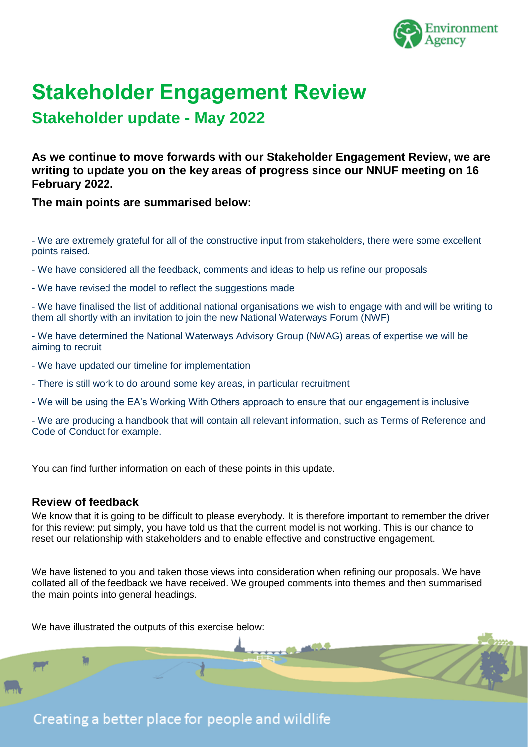

# **Stakeholder Engagement Review**

**Stakeholder update - May 2022**

**As we continue to move forwards with our Stakeholder Engagement Review, we are writing to update you on the key areas of progress since our NNUF meeting on 16 February 2022.**

**The main points are summarised below:**

- We are extremely grateful for all of the constructive input from stakeholders, there were some excellent points raised.

- We have considered all the feedback, comments and ideas to help us refine our proposals

- We have revised the model to reflect the suggestions made

- We have finalised the list of additional national organisations we wish to engage with and will be writing to them all shortly with an invitation to join the new National Waterways Forum (NWF)

- We have determined the National Waterways Advisory Group (NWAG) areas of expertise we will be aiming to recruit

- We have updated our timeline for implementation
- There is still work to do around some key areas, in particular recruitment

- We will be using the EA's Working With Others approach to ensure that our engagement is inclusive

- We are producing a handbook that will contain all relevant information, such as Terms of Reference and Code of Conduct for example.

You can find further information on each of these points in this update.

## **Review of feedback**

We know that it is going to be difficult to please everybody. It is therefore important to remember the driver for this review: put simply, you have told us that the current model is not working. This is our chance to reset our relationship with stakeholders and to enable effective and constructive engagement.

We have listened to you and taken those views into consideration when refining our proposals. We have collated all of the feedback we have received. We grouped comments into themes and then summarised the main points into general headings.

We have illustrated the outputs of this exercise below: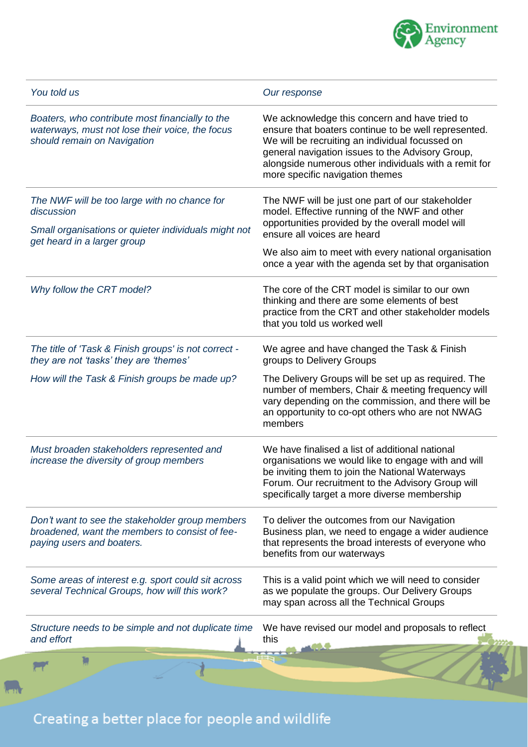

| You told us                                                                                                                       | Our response                                                                                                                                                                                                                                                                                             |
|-----------------------------------------------------------------------------------------------------------------------------------|----------------------------------------------------------------------------------------------------------------------------------------------------------------------------------------------------------------------------------------------------------------------------------------------------------|
| Boaters, who contribute most financially to the<br>waterways, must not lose their voice, the focus<br>should remain on Navigation | We acknowledge this concern and have tried to<br>ensure that boaters continue to be well represented.<br>We will be recruiting an individual focussed on<br>general navigation issues to the Advisory Group,<br>alongside numerous other individuals with a remit for<br>more specific navigation themes |
| The NWF will be too large with no chance for<br>discussion                                                                        | The NWF will be just one part of our stakeholder<br>model. Effective running of the NWF and other                                                                                                                                                                                                        |
| Small organisations or quieter individuals might not<br>get heard in a larger group                                               | opportunities provided by the overall model will<br>ensure all voices are heard                                                                                                                                                                                                                          |
|                                                                                                                                   | We also aim to meet with every national organisation<br>once a year with the agenda set by that organisation                                                                                                                                                                                             |
| Why follow the CRT model?                                                                                                         | The core of the CRT model is similar to our own<br>thinking and there are some elements of best<br>practice from the CRT and other stakeholder models<br>that you told us worked well                                                                                                                    |
| The title of 'Task & Finish groups' is not correct -<br>they are not 'tasks' they are 'themes'                                    | We agree and have changed the Task & Finish<br>groups to Delivery Groups                                                                                                                                                                                                                                 |
| How will the Task & Finish groups be made up?                                                                                     | The Delivery Groups will be set up as required. The<br>number of members, Chair & meeting frequency will<br>vary depending on the commission, and there will be<br>an opportunity to co-opt others who are not NWAG<br>members                                                                           |
| Must broaden stakeholders represented and<br>increase the diversity of group members                                              | We have finalised a list of additional national<br>organisations we would like to engage with and will<br>be inviting them to join the National Waterways<br>Forum. Our recruitment to the Advisory Group will<br>specifically target a more diverse membership                                          |
| Don't want to see the stakeholder group members<br>broadened, want the members to consist of fee-<br>paying users and boaters.    | To deliver the outcomes from our Navigation<br>Business plan, we need to engage a wider audience<br>that represents the broad interests of everyone who<br>benefits from our waterways                                                                                                                   |
| Some areas of interest e.g. sport could sit across<br>several Technical Groups, how will this work?                               | This is a valid point which we will need to consider<br>as we populate the groups. Our Delivery Groups<br>may span across all the Technical Groups                                                                                                                                                       |
| Structure needs to be simple and not duplicate time<br>and effort                                                                 | We have revised our model and proposals to reflect<br>this                                                                                                                                                                                                                                               |
|                                                                                                                                   |                                                                                                                                                                                                                                                                                                          |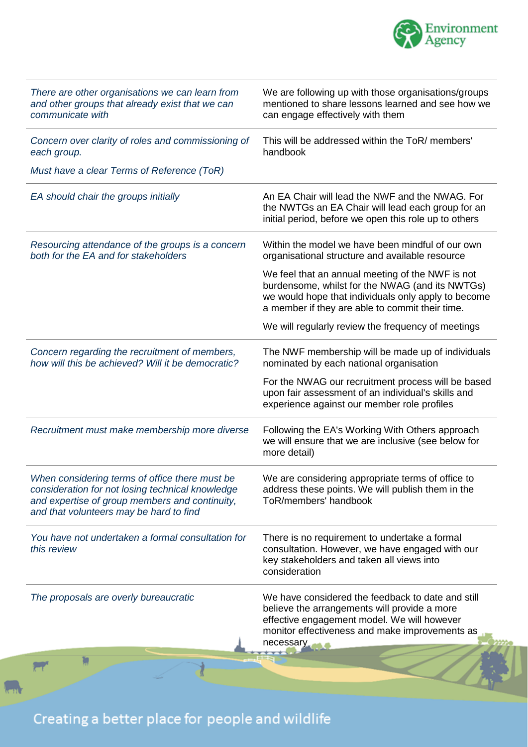

| There are other organisations we can learn from<br>and other groups that already exist that we can<br>communicate with                                                                          | We are following up with those organisations/groups<br>mentioned to share lessons learned and see how we<br>can engage effectively with them                                                                  |
|-------------------------------------------------------------------------------------------------------------------------------------------------------------------------------------------------|---------------------------------------------------------------------------------------------------------------------------------------------------------------------------------------------------------------|
| Concern over clarity of roles and commissioning of<br>each group.                                                                                                                               | This will be addressed within the ToR/ members'<br>handbook                                                                                                                                                   |
| Must have a clear Terms of Reference (ToR)                                                                                                                                                      |                                                                                                                                                                                                               |
| EA should chair the groups initially                                                                                                                                                            | An EA Chair will lead the NWF and the NWAG. For<br>the NWTGs an EA Chair will lead each group for an<br>initial period, before we open this role up to others                                                 |
| Resourcing attendance of the groups is a concern<br>both for the EA and for stakeholders                                                                                                        | Within the model we have been mindful of our own<br>organisational structure and available resource                                                                                                           |
|                                                                                                                                                                                                 | We feel that an annual meeting of the NWF is not<br>burdensome, whilst for the NWAG (and its NWTGs)<br>we would hope that individuals only apply to become<br>a member if they are able to commit their time. |
|                                                                                                                                                                                                 | We will regularly review the frequency of meetings                                                                                                                                                            |
| Concern regarding the recruitment of members,<br>how will this be achieved? Will it be democratic?                                                                                              | The NWF membership will be made up of individuals<br>nominated by each national organisation                                                                                                                  |
|                                                                                                                                                                                                 | For the NWAG our recruitment process will be based<br>upon fair assessment of an individual's skills and<br>experience against our member role profiles                                                       |
| Recruitment must make membership more diverse                                                                                                                                                   | Following the EA's Working With Others approach<br>we will ensure that we are inclusive (see below for<br>more detail)                                                                                        |
| When considering terms of office there must be<br>consideration for not losing technical knowledge<br>and expertise of group members and continuity,<br>and that volunteers may be hard to find | We are considering appropriate terms of office to<br>address these points. We will publish them in the<br>ToR/members' handbook                                                                               |
| You have not undertaken a formal consultation for<br>this review                                                                                                                                | There is no requirement to undertake a formal<br>consultation. However, we have engaged with our<br>key stakeholders and taken all views into<br>consideration                                                |
| The proposals are overly bureaucratic                                                                                                                                                           | We have considered the feedback to date and still<br>believe the arrangements will provide a more<br>effective engagement model. We will however<br>monitor effectiveness and make improvements as            |
|                                                                                                                                                                                                 | necessary                                                                                                                                                                                                     |
|                                                                                                                                                                                                 |                                                                                                                                                                                                               |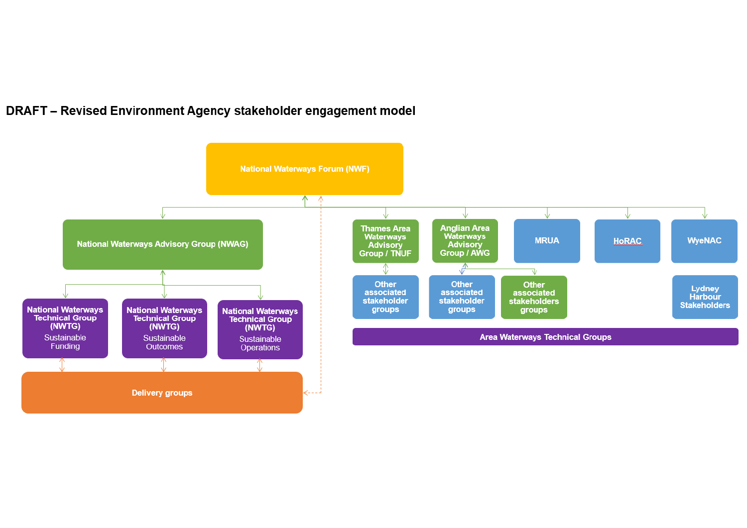# DRAFT - Revised Environment Agency stakeholder engagement model

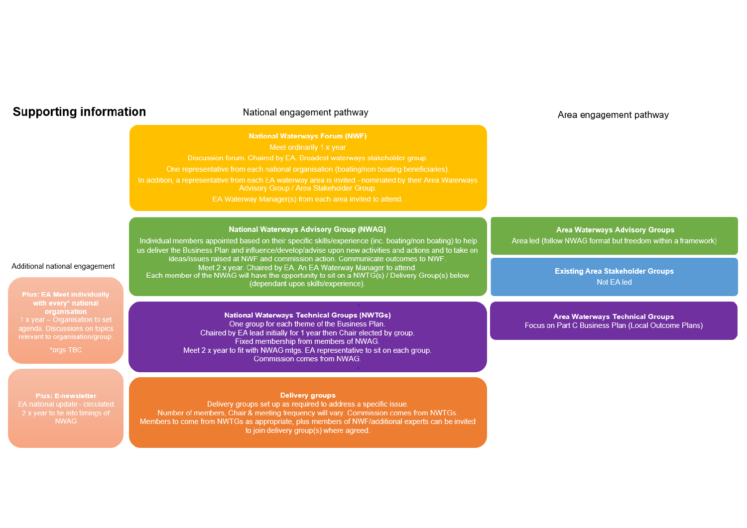# **Supporting information**

#### National engagement pathway

#### **National Waterways Forum (NWF)**

Discussion forum. Chaired by EA. Broadest waterways stakeholder group.

One representative from each national organisation (boating/non boating beneficiaries).

Advisory Group / Area Stakeholder Group.

EA Waterway Manager(s) from each area invited to attend.

#### **National Waterways Advisory Group (NWAG)**

Individual members appointed based on their specific skills/experience (inc. boating/non boating) to help us deliver the Business Plan and influence/develop/advise upon new activities and actions and to take on ideas/issues raised at NWF and commission action. Communicate outcomes to NWF. Meet 2 x year. Chaired by EA. An EA Waterway Manager to attend. Each member of the NWAG will have the opportunity to sit on a NWTG(s) / Delivery Group(s) below (dependant upon skills/experience).

#### **National Waterways Technical Groups (NWTGs)** One group for each theme of the Business Plan. Chaired by EA lead initially for 1 year then Chair elected by group. Fixed membership from members of NWAG.

Meet 2 x year to fit with NWAG mtgs. EA representative to sit on each group. Commission comes from NWAG.

#### **Delivery groups**

Delivery groups set up as required to address a specific issue. Number of members, Chair & meeting frequency will vary. Commission comes from NWTGs. Members to come from NWTGs as appropriate, plus members of NWF/additional experts can be invited to join delivery group(s) where agreed.

#### Area engagement pathway

**Area Waterways Advisory Groups** 

Area led (follow NWAG format but freedom within a framework)

**Existing Area Stakeholder Groups** Not EA led

**Area Waterways Technical Groups** Focus on Part C Business Plan (Local Outcome Plans)

# Additional national engagement

**Plus: EA Meet individually** with every\* national organisation agenda. Discussions on topics

Plus: E-newsletter EA national update - circulated 2 x year to tie into timings of **NWAG**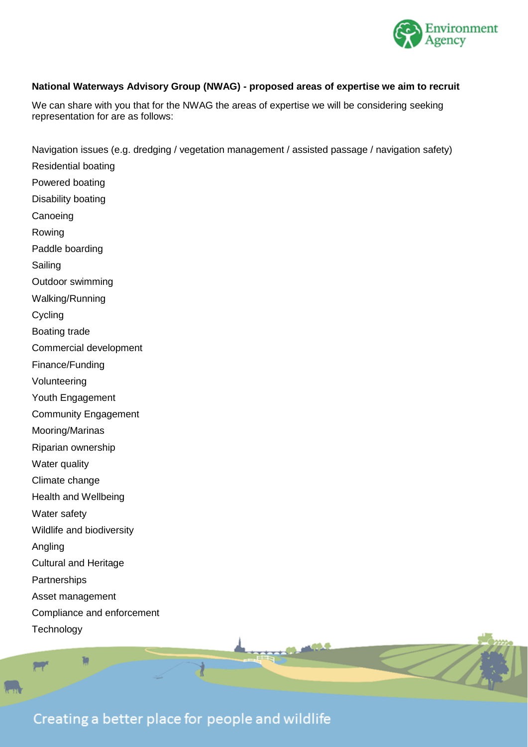

### **National Waterways Advisory Group (NWAG) - proposed areas of expertise we aim to recruit**

We can share with you that for the NWAG the areas of expertise we will be considering seeking representation for are as follows:

Navigation issues (e.g. dredging / vegetation management / assisted passage / navigation safety) Residential boating Powered boating Disability boating **Canoeing** Rowing Paddle boarding Sailing Outdoor swimming Walking/Running Cycling Boating trade Commercial development Finance/Funding Volunteering Youth Engagement Community Engagement Mooring/Marinas Riparian ownership Water quality Climate change Health and Wellbeing Water safety Wildlife and biodiversity Angling Cultural and Heritage **Partnerships** Asset management Compliance and enforcement **Technology** 

Creating a better place for people and wildlife

**SHIP**